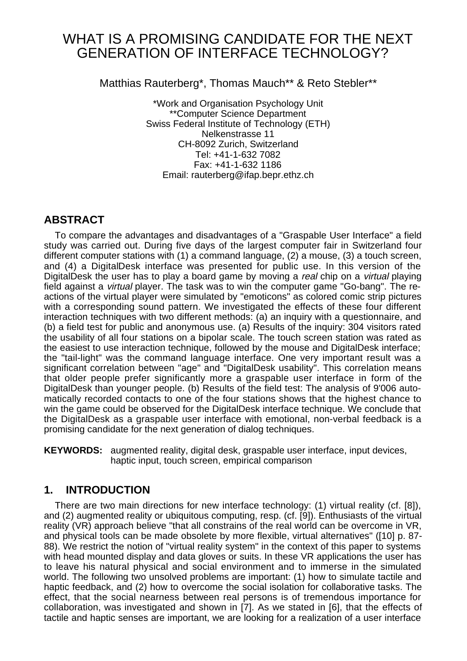# WHAT IS A PROMISING CANDIDATE FOR THE NEXT GENERATION OF INTERFACE TECHNOLOGY?

Matthias Rauterberg\*, Thomas Mauch\*\* & Reto Stebler\*\*

\*Work and Organisation Psychology Unit \*\*Computer Science Department Swiss Federal Institute of Technology (ETH) Nelkenstrasse 11 CH-8092 Zurich, Switzerland Tel: +41-1-632 7082 Fax: +41-1-632 1186 Email: rauterberg@ifap.bepr.ethz.ch

# **ABSTRACT**

To compare the advantages and disadvantages of a "Graspable User Interface" a field study was carried out. During five days of the largest computer fair in Switzerland four different computer stations with (1) a command language, (2) a mouse, (3) a touch screen, and (4) a DigitalDesk interface was presented for public use. In this version of the DigitalDesk the user has to play a board game by moving a real chip on a *virtual* playing field against a virtual player. The task was to win the computer game "Go-bang". The reactions of the virtual player were simulated by "emoticons" as colored comic strip pictures with a corresponding sound pattern. We investigated the effects of these four different interaction techniques with two different methods: (a) an inquiry with a questionnaire, and (b) a field test for public and anonymous use. (a) Results of the inquiry: 304 visitors rated the usability of all four stations on a bipolar scale. The touch screen station was rated as the easiest to use interaction technique, followed by the mouse and DigitalDesk interface; the "tail-light" was the command language interface. One very important result was a significant correlation between "age" and "DigitalDesk usability". This correlation means that older people prefer significantly more a graspable user interface in form of the DigitalDesk than younger people. (b) Results of the field test: The analysis of 9'006 automatically recorded contacts to one of the four stations shows that the highest chance to win the game could be observed for the DigitalDesk interface technique. We conclude that the DigitalDesk as a graspable user interface with emotional, non-verbal feedback is a promising candidate for the next generation of dialog techniques.

**KEYWORDS:** augmented reality, digital desk, graspable user interface, input devices, haptic input, touch screen, empirical comparison

## **1. INTRODUCTION**

There are two main directions for new interface technology: (1) virtual reality (cf. [8]), and (2) augmented reality or ubiquitous computing, resp. (cf. [9]). Enthusiasts of the virtual reality (VR) approach believe "that all constrains of the real world can be overcome in VR, and physical tools can be made obsolete by more flexible, virtual alternatives" ([10] p. 87- 88). We restrict the notion of "virtual reality system" in the context of this paper to systems with head mounted display and data gloves or suits. In these VR applications the user has to leave his natural physical and social environment and to immerse in the simulated world. The following two unsolved problems are important: (1) how to simulate tactile and haptic feedback, and (2) how to overcome the social isolation for collaborative tasks. The effect, that the social nearness between real persons is of tremendous importance for collaboration, was investigated and shown in [7]. As we stated in [6], that the effects of tactile and haptic senses are important, we are looking for a realization of a user interface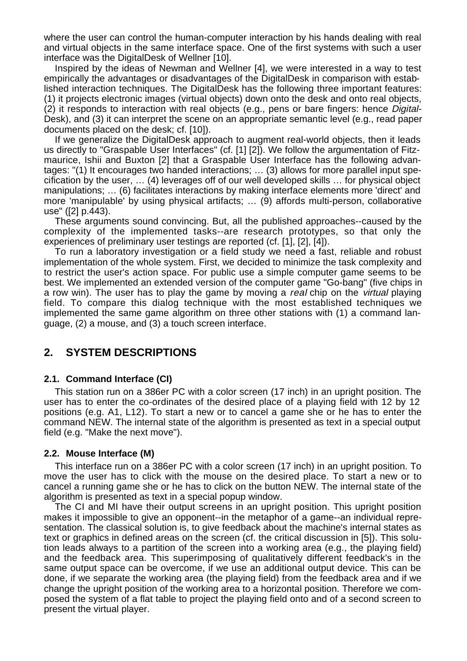where the user can control the human-computer interaction by his hands dealing with real and virtual objects in the same interface space. One of the first systems with such a user interface was the DigitalDesk of Wellner [10].

Inspired by the ideas of Newman and Wellner [4], we were interested in a way to test empirically the advantages or disadvantages of the DigitalDesk in comparison with established interaction techniques. The DigitalDesk has the following three important features: (1) it projects electronic images (virtual objects) down onto the desk and onto real objects, (2) it responds to interaction with real objects (e.g., pens or bare fingers: hence Digital-Desk), and (3) it can interpret the scene on an appropriate semantic level (e.g., read paper documents placed on the desk; cf. [10]).

If we generalize the DigitalDesk approach to augment real-world objects, then it leads us directly to "Graspable User Interfaces" (cf. [1] [2]). We follow the argumentation of Fitzmaurice, Ishii and Buxton [2] that a Graspable User Interface has the following advantages: "(1) It encourages two handed interactions; … (3) allows for more parallel input specification by the user, … (4) leverages off of our well developed skills … for physical object manipulations; … (6) facilitates interactions by making interface elements more 'direct' and more 'manipulable' by using physical artifacts; … (9) affords multi-person, collaborative use" ([2] p.443).

These arguments sound convincing. But, all the published approaches--caused by the complexity of the implemented tasks--are research prototypes, so that only the experiences of preliminary user testings are reported (cf. [1], [2], [4]).

To run a laboratory investigation or a field study we need a fast, reliable and robust implementation of the whole system. First, we decided to minimize the task complexity and to restrict the user's action space. For public use a simple computer game seems to be best. We implemented an extended version of the computer game "Go-bang" (five chips in a row win). The user has to play the game by moving a *real* chip on the *virtual* playing field. To compare this dialog technique with the most established techniques we implemented the same game algorithm on three other stations with (1) a command language, (2) a mouse, and (3) a touch screen interface.

## **2. SYSTEM DESCRIPTIONS**

#### **2.1. Command Interface (CI)**

This station run on a 386er PC with a color screen (17 inch) in an upright position. The user has to enter the co-ordinates of the desired place of a playing field with 12 by 12 positions (e.g. A1, L12). To start a new or to cancel a game she or he has to enter the command NEW. The internal state of the algorithm is presented as text in a special output field (e.g. "Make the next move").

#### **2.2. Mouse Interface (M)**

This interface run on a 386er PC with a color screen (17 inch) in an upright position. To move the user has to click with the mouse on the desired place. To start a new or to cancel a running game she or he has to click on the button NEW. The internal state of the algorithm is presented as text in a special popup window.

The CI and MI have their output screens in an upright position. This upright position makes it impossible to give an opponent--in the metaphor of a game--an individual representation. The classical solution is, to give feedback about the machine's internal states as text or graphics in defined areas on the screen (cf. the critical discussion in [5]). This solution leads always to a partition of the screen into a working area (e.g., the playing field) and the feedback area. This superimposing of qualitatively different feedback's in the same output space can be overcome, if we use an additional output device. This can be done, if we separate the working area (the playing field) from the feedback area and if we change the upright position of the working area to a horizontal position. Therefore we composed the system of a flat table to project the playing field onto and of a second screen to present the virtual player.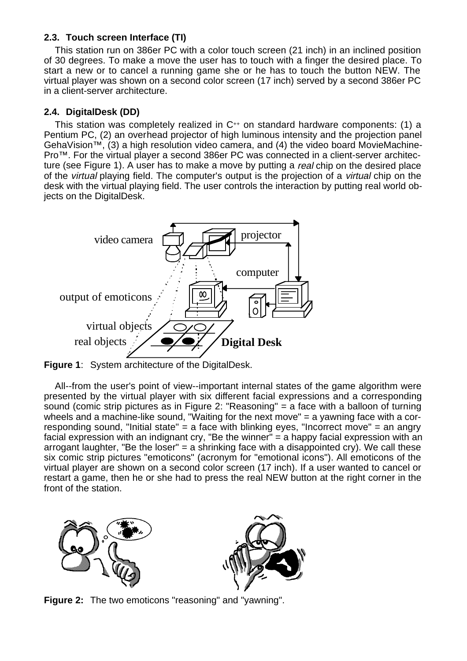## **2.3. Touch screen Interface (TI)**

This station run on 386er PC with a color touch screen (21 inch) in an inclined position of 30 degrees. To make a move the user has to touch with a finger the desired place. To start a new or to cancel a running game she or he has to touch the button NEW. The virtual player was shown on a second color screen (17 inch) served by a second 386er PC in a client-server architecture.

## **2.4. DigitalDesk (DD)**

This station was completely realized in C++ on standard hardware components: (1) a Pentium PC, (2) an overhead projector of high luminous intensity and the projection panel GehaVision™, (3) a high resolution video camera, and (4) the video board MovieMachine-Pro™. For the virtual player a second 386er PC was connected in a client-server architecture (see Figure 1). A user has to make a move by putting a real chip on the desired place of the virtual playing field. The computer's output is the projection of a virtual chip on the desk with the virtual playing field. The user controls the interaction by putting real world obiects on the DigitalDesk.



**Figure 1**: System architecture of the DigitalDesk.

All--from the user's point of view--important internal states of the game algorithm were presented by the virtual player with six different facial expressions and a corresponding sound (comic strip pictures as in Figure 2: "Reasoning" = a face with a balloon of turning wheels and a machine-like sound, "Waiting for the next move" = a yawning face with a corresponding sound, "Initial state" = a face with blinking eyes, "Incorrect move" = an angry facial expression with an indignant cry, "Be the winner" = a happy facial expression with an arrogant laughter, "Be the loser" = a shrinking face with a disappointed cry). We call these six comic strip pictures "emoticons" (acronym for "emotional icons"). All emoticons of the virtual player are shown on a second color screen (17 inch). If a user wanted to cancel or restart a game, then he or she had to press the real NEW button at the right corner in the front of the station.



**Figure 2:** The two emoticons "reasoning" and "yawning".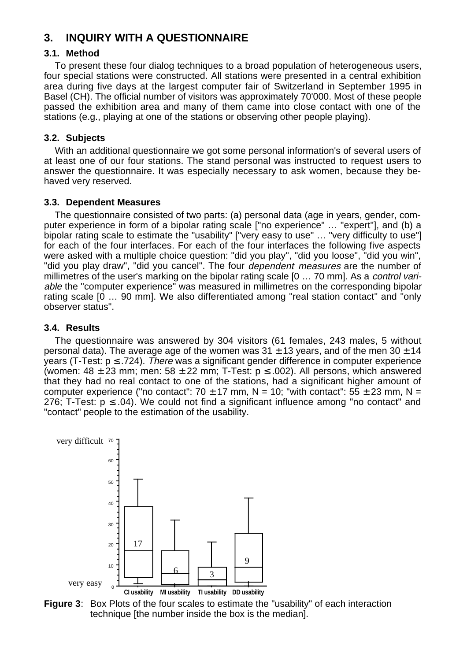# **3. INQUIRY WITH A QUESTIONNAIRE**

## **3.1. Method**

To present these four dialog techniques to a broad population of heterogeneous users, four special stations were constructed. All stations were presented in a central exhibition area during five days at the largest computer fair of Switzerland in September 1995 in Basel (CH). The official number of visitors was approximately 70'000. Most of these people passed the exhibition area and many of them came into close contact with one of the stations (e.g., playing at one of the stations or observing other people playing).

## **3.2. Subjects**

With an additional questionnaire we got some personal information's of several users of at least one of our four stations. The stand personal was instructed to request users to answer the questionnaire. It was especially necessary to ask women, because they behaved very reserved.

## **3.3. Dependent Measures**

The questionnaire consisted of two parts: (a) personal data (age in years, gender, computer experience in form of a bipolar rating scale ["no experience" … "expert"], and (b) a bipolar rating scale to estimate the "usability" ["very easy to use" … "very difficulty to use"] for each of the four interfaces. For each of the four interfaces the following five aspects were asked with a multiple choice question: "did you play", "did you loose", "did you win", "did you play draw", "did you cancel". The four dependent measures are the number of millimetres of the user's marking on the bipolar rating scale [0 ... 70 mm]. As a *control vari*able the "computer experience" was measured in millimetres on the corresponding bipolar rating scale [0 … 90 mm]. We also differentiated among "real station contact" and "only observer status".

## **3.4. Results**

The questionnaire was answered by 304 visitors (61 females, 243 males, 5 without personal data). The average age of the women was  $31 \pm 13$  years, and of the men  $30 \pm 14$ years (T-Test:  $p \le 724$ ). There was a significant gender difference in computer experience (women:  $48 \pm 23$  mm; men:  $58 \pm 22$  mm; T-Test:  $p \le .002$ ). All persons, which answered that they had no real contact to one of the stations, had a significant higher amount of computer experience ("no contact":  $70 \pm 17$  mm, N = 10; "with contact":  $55 \pm 23$  mm, N = 276; T-Test:  $p \le 0.04$ ). We could not find a significant influence among "no contact" and "contact" people to the estimation of the usability.



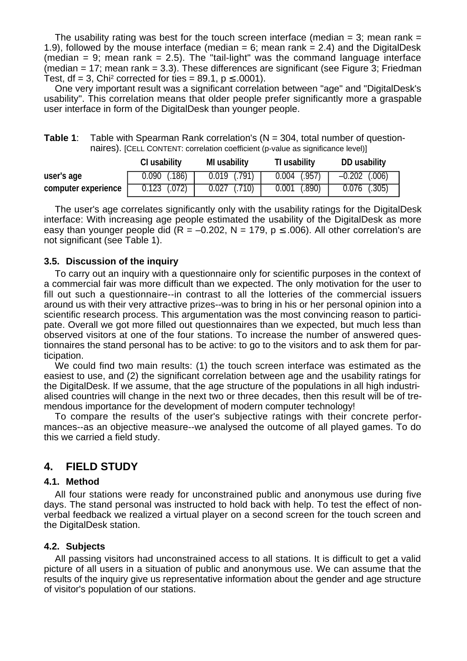The usability rating was best for the touch screen interface (median  $=$  3; mean rank  $=$ 1.9), followed by the mouse interface (median  $= 6$ ; mean rank  $= 2.4$ ) and the DigitalDesk (median = 9; mean rank = 2.5). The "tail-light" was the command language interface (median  $= 17$ ; mean rank  $= 3.3$ ). These differences are significant (see Figure 3; Friedman Test, df = 3, Chi<sup>2</sup> corrected for ties = 89.1,  $p \le 0.0001$ ).

One very important result was a significant correlation between "age" and "DigitalDesk's usability". This correlation means that older people prefer significantly more a graspable user interface in form of the DigitalDesk than younger people.

| Table 1: | Table with Spearman Rank correlation's ( $N = 304$ , total number of question-   |
|----------|----------------------------------------------------------------------------------|
|          | naires). [CELL CONTENT: correlation coefficient (p-value as significance level)] |

|                     | <b>CI usability</b> | <b>MI</b> usability | TI usability   | DD usability      |
|---------------------|---------------------|---------------------|----------------|-------------------|
| user's age          | $0.090$ (.186)      | $0.019$ (.791)      | $0.004$ (.957) | $-0.202$ $(.006)$ |
| computer experience | $0.123$ $(.072)$    | $0.027$ $( .710)$   | $0.001$ (.890) | $0.076$ (.305)    |

The user's age correlates significantly only with the usability ratings for the DigitalDesk interface: With increasing age people estimated the usability of the DigitalDesk as more easy than younger people did (R = -0.202, N = 179, p  $\leq$  .006). All other correlation's are not significant (see Table 1).

#### **3.5. Discussion of the inquiry**

To carry out an inquiry with a questionnaire only for scientific purposes in the context of a commercial fair was more difficult than we expected. The only motivation for the user to fill out such a questionnaire--in contrast to all the lotteries of the commercial issuers around us with their very attractive prizes--was to bring in his or her personal opinion into a scientific research process. This argumentation was the most convincing reason to participate. Overall we got more filled out questionnaires than we expected, but much less than observed visitors at one of the four stations. To increase the number of answered questionnaires the stand personal has to be active: to go to the visitors and to ask them for participation.

We could find two main results: (1) the touch screen interface was estimated as the easiest to use, and (2) the significant correlation between age and the usability ratings for the DigitalDesk. If we assume, that the age structure of the populations in all high industrialised countries will change in the next two or three decades, then this result will be of tremendous importance for the development of modern computer technology!

To compare the results of the user's subjective ratings with their concrete performances--as an objective measure--we analysed the outcome of all played games. To do this we carried a field study.

## **4. FIELD STUDY**

#### **4.1. Method**

All four stations were ready for unconstrained public and anonymous use during five days. The stand personal was instructed to hold back with help. To test the effect of nonverbal feedback we realized a virtual player on a second screen for the touch screen and the DigitalDesk station.

#### **4.2. Subjects**

All passing visitors had unconstrained access to all stations. It is difficult to get a valid picture of all users in a situation of public and anonymous use. We can assume that the results of the inquiry give us representative information about the gender and age structure of visitor's population of our stations.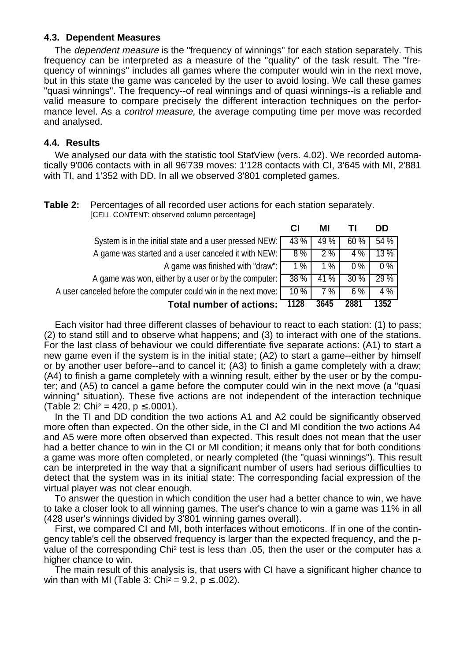### **4.3. Dependent Measures**

The dependent measure is the "frequency of winnings" for each station separately. This frequency can be interpreted as a measure of the "quality" of the task result. The "frequency of winnings" includes all games where the computer would win in the next move, but in this state the game was canceled by the user to avoid losing. We call these games "quasi winnings". The frequency--of real winnings and of quasi winnings--is a reliable and valid measure to compare precisely the different interaction techniques on the performance level. As a *control measure*, the average computing time per move was recorded and analysed.

## **4.4. Results**

We analysed our data with the statistic tool StatView (vers. 4.02). We recorded automatically 9'006 contacts with in all 96'739 moves: 1'128 contacts with CI, 3'645 with MI, 2'881 with TI, and 1'352 with DD. In all we observed 3'801 completed games.

**Table 2:** Percentages of all recorded user actions for each station separately. [CELL CONTENT: observed column percentage]

|                                                                 |        | МI    |        | <b>DD</b> |
|-----------------------------------------------------------------|--------|-------|--------|-----------|
| System is in the initial state and a user pressed NEW:          | 43 %   | 49 %  | 60%    | 54 %      |
| A game was started and a user canceled it with NEW: [           | $8\%$  | 2%    | 4 %    | 13 %      |
| A game was finished with "draw": [                              | $1\%$  | $1\%$ | $0\%$  | $0\%$     |
| A game was won, either by a user or by the computer:            | 38 %   | 41 %  | $30\%$ | 29 %      |
| A user canceled before the computer could win in the next move: | $10\%$ | 7 %   | 6 %    | 4 %       |
| <b>Total number of actions:</b>                                 | 1128   | 3645  | 2881   | 1352      |

Each visitor had three different classes of behaviour to react to each station: (1) to pass; (2) to stand still and to observe what happens; and (3) to interact with one of the stations. For the last class of behaviour we could differentiate five separate actions: (A1) to start a new game even if the system is in the initial state; (A2) to start a game--either by himself or by another user before--and to cancel it; (A3) to finish a game completely with a draw; (A4) to finish a game completely with a winning result, either by the user or by the computer; and (A5) to cancel a game before the computer could win in the next move (a "quasi winning" situation). These five actions are not independent of the interaction technique (Table 2: Chi<sup>2</sup> = 420,  $p \le .0001$ ).

In the TI and DD condition the two actions A1 and A2 could be significantly observed more often than expected. On the other side, in the CI and MI condition the two actions A4 and A5 were more often observed than expected. This result does not mean that the user had a better chance to win in the CI or MI condition; it means only that for both conditions a game was more often completed, or nearly completed (the "quasi winnings"). This result can be interpreted in the way that a significant number of users had serious difficulties to detect that the system was in its initial state: The corresponding facial expression of the virtual player was not clear enough.

To answer the question in which condition the user had a better chance to win, we have to take a closer look to all winning games. The user's chance to win a game was 11% in all (428 user's winnings divided by 3'801 winning games overall).

First, we compared CI and MI, both interfaces without emoticons. If in one of the contingency table's cell the observed frequency is larger than the expected frequency, and the pvalue of the corresponding Chi2 test is less than .05, then the user or the computer has a higher chance to win.

The main result of this analysis is, that users with CI have a significant higher chance to win than with MI (Table 3: Chi<sup>2</sup> = 9.2,  $p \le 0.002$ ).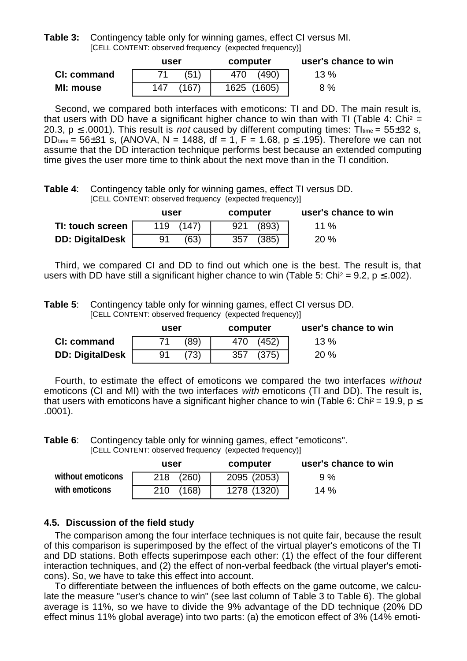**Table 3:** Contingency table only for winning games, effect CI versus MI. [CELL CONTENT: observed frequency (expected frequency)]

|             | user |       | computer |             | user's chance to win |  |
|-------------|------|-------|----------|-------------|----------------------|--|
| CI: command |      | (51)  | 470      | (490)       | 13%                  |  |
| MI: mouse   | 147  | (167) |          | 1625 (1605) | 8 %                  |  |

Second, we compared both interfaces with emoticons: TI and DD. The main result is, that users with DD have a significant higher chance to win than with TI (Table 4: Chi<sup>2</sup> = 20.3,  $p \le 0.0001$ ). This result is *not* caused by different computing times: Those = 55±32 s, DD<sub>time</sub> = 56±31 s, (ANOVA, N = 1488, df = 1, F = 1.68, p ≤ .195). Therefore we can not assume that the DD interaction technique performs best because an extended computing time gives the user more time to think about the next move than in the TI condition.

**Table 4**: Contingency table only for winning games, effect TI versus DD. [CELL CONTENT: observed frequency (expected frequency)]

|                        | user       | computer     | user's chance to win |
|------------------------|------------|--------------|----------------------|
| TI: touch screen       | 119 (147)  | (893)<br>921 | 11 %                 |
| <b>DD: DigitalDesk</b> | (63)<br>91 | (385)<br>357 | 20%                  |

Third, we compared CI and DD to find out which one is the best. The result is, that users with DD have still a significant higher chance to win (Table 5: Chi<sup>2</sup> = 9.2,  $p \le 0.002$ ).

**Table 5**: Contingency table only for winning games, effect CI versus DD. [CELL CONTENT: observed frequency (expected frequency)]

|                        | user |      | computer |       | user's chance to win |  |
|------------------------|------|------|----------|-------|----------------------|--|
| CI: command            |      | (89) | 470      | (452) | 13%                  |  |
| <b>DD: DigitalDesk</b> |      | (73) | 357      | (375) | 20%                  |  |

Fourth, to estimate the effect of emoticons we compared the two interfaces without emoticons (CI and MI) with the two interfaces with emoticons (TI and DD). The result is, that users with emoticons have a significant higher chance to win (Table 6: Chi<sup>2</sup> = 19.9,  $p \le$ .0001).

**Table 6**: Contingency table only for winning games, effect "emoticons". [CELL CONTENT: observed frequency (expected frequency)]

|                   | user         | computer    | user's chance to win |  |
|-------------------|--------------|-------------|----------------------|--|
| without emoticons | (260)<br>218 | 2095 (2053) | 9 %                  |  |
| with emoticons    | (168)<br>210 | 1278 (1320) | 14%                  |  |

## **4.5. Discussion of the field study**

The comparison among the four interface techniques is not quite fair, because the result of this comparison is superimposed by the effect of the virtual player's emoticons of the TI and DD stations. Both effects superimpose each other: (1) the effect of the four different interaction techniques, and (2) the effect of non-verbal feedback (the virtual player's emoticons). So, we have to take this effect into account.

To differentiate between the influences of both effects on the game outcome, we calculate the measure "user's chance to win" (see last column of Table 3 to Table 6). The global average is 11%, so we have to divide the 9% advantage of the DD technique (20% DD effect minus 11% global average) into two parts: (a) the emoticon effect of 3% (14% emoti